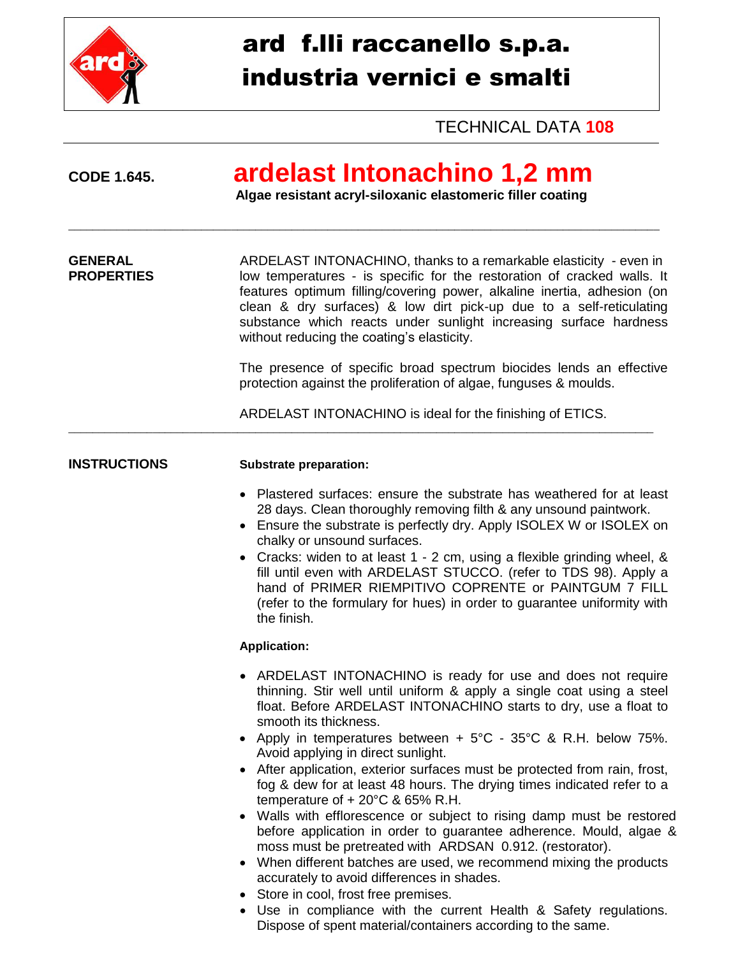

# ard f.lli raccanello s.p.a. industria vernici e smalti

**TECHNICAL DATA 108** 

## CODE 1.645.

# ardelast Intonachino 1,2 mm

Algae resistant acryl-siloxanic elastomeric filler coating

**GENERAL** ARDELAST INTONACHINO, thanks to a remarkable elasticity - even in **PROPERTIES** low temperatures - is specific for the restoration of cracked walls. It features optimum filling/covering power, alkaline inertia, adhesion (on clean & dry surfaces) & low dirt pick-up due to a self-reticulating substance which reacts under sunlight increasing surface hardness without reducing the coating's elasticity.

> The presence of specific broad spectrum biocides lends an effective protection against the proliferation of algae, funguses & moulds.

ARDELAST INTONACHINO is ideal for the finishing of ETICS.

#### **INSTRUCTIONS**

#### **Substrate preparation:**

- Plastered surfaces: ensure the substrate has weathered for at least 28 days. Clean thoroughly removing filth & any unsound paintwork.
- Ensure the substrate is perfectly dry. Apply ISOLEX W or ISOLEX on chalky or unsound surfaces.
- Cracks: widen to at least 1 2 cm, using a flexible grinding wheel, & fill until even with ARDELAST STUCCO. (refer to TDS 98). Apply a hand of PRIMER RIEMPITIVO COPRENTE or PAINTGUM 7 FILL (refer to the formulary for hues) in order to guarantee uniformity with the finish.

#### **Application:**

- ARDELAST INTONACHINO is ready for use and does not require thinning. Stir well until uniform & apply a single coat using a steel float. Before ARDELAST INTONACHINO starts to dry, use a float to smooth its thickness.
- Apply in temperatures between  $+5^{\circ}$ C 35 $^{\circ}$ C & R.H. below 75%. Avoid applying in direct sunlight.
- After application, exterior surfaces must be protected from rain, frost, fog & dew for at least 48 hours. The drying times indicated refer to a temperature of  $+20^{\circ}$ C & 65% R.H.
- Walls with efflorescence or subject to rising damp must be restored before application in order to quarantee adherence. Mould, algae & moss must be pretreated with ARDSAN 0.912. (restorator).
- When different batches are used, we recommend mixing the products accurately to avoid differences in shades.
- Store in cool, frost free premises.
- Use in compliance with the current Health & Safety regulations. Dispose of spent material/containers according to the same.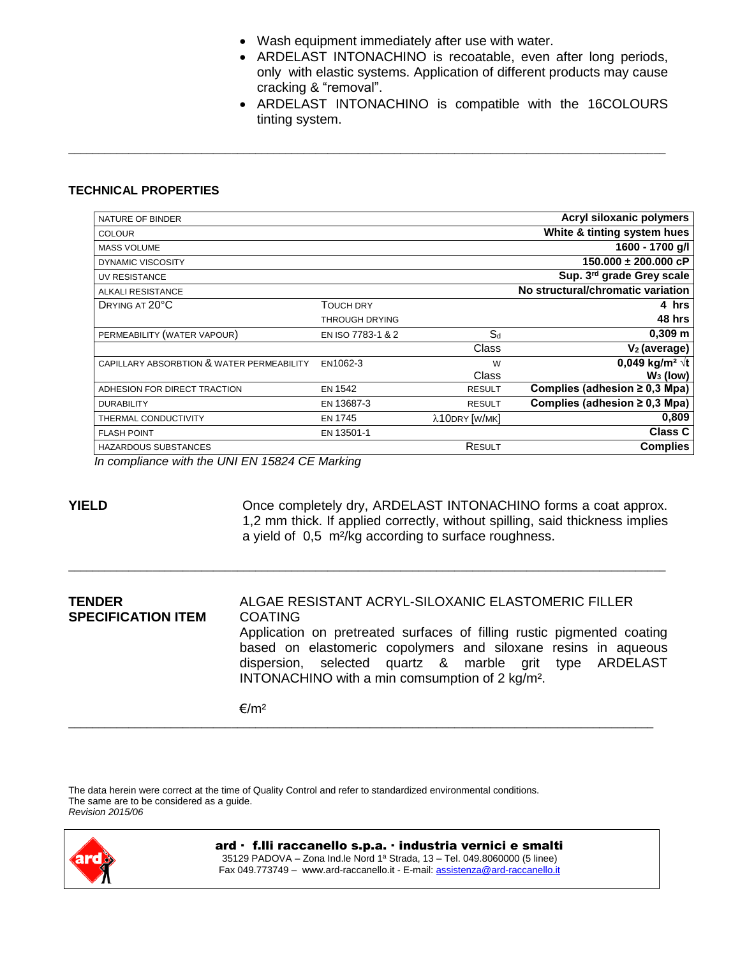• Wash equipment immediately after use with water.

\_\_\_\_\_\_\_\_\_\_\_\_\_\_\_\_\_\_\_\_\_\_\_\_\_\_\_\_\_\_\_\_\_\_\_\_\_\_\_\_\_\_\_\_\_\_\_\_\_\_\_\_\_\_\_\_\_\_\_\_\_\_\_\_\_\_\_\_\_\_\_\_\_\_\_\_\_\_\_\_\_\_\_\_\_\_\_\_\_\_\_\_\_\_\_\_\_\_\_

- ARDELAST INTONACHINO is recoatable, even after long periods, only with elastic systems. Application of different products may cause cracking & "removal".
- ARDELAST INTONACHINO is compatible with the 16COLOURS tinting system.

#### **TECHNICAL PROPERTIES**

| NATURE OF BINDER                          |                       |               | Acryl siloxanic polymers           |
|-------------------------------------------|-----------------------|---------------|------------------------------------|
| <b>COLOUR</b>                             |                       |               | White & tinting system hues        |
| <b>MASS VOLUME</b>                        |                       |               | 1600 - 1700 g/l                    |
| DYNAMIC VISCOSITY                         |                       |               | $150.000 \pm 200.000$ cP           |
| UV RESISTANCE                             |                       |               | Sup. 3rd grade Grey scale          |
| ALKALI RESISTANCE                         |                       |               | No structural/chromatic variation  |
| DRYING AT 20°C                            | TOUCH DRY             |               | 4 hrs                              |
|                                           | <b>THROUGH DRYING</b> |               | 48 hrs                             |
| PERMEABILITY (WATER VAPOUR)               | EN ISO 7783-1 & 2     | $S_d$         | $0,309$ m                          |
|                                           |                       | Class         | $V2$ (average)                     |
| CAPILLARY ABSORBTION & WATER PERMEABILITY | EN1062-3              | W             | 0,049 kg/m <sup>2</sup> $\sqrt{t}$ |
|                                           |                       | Class         | $W_3$ (low)                        |
| ADHESION FOR DIRECT TRACTION              | <b>EN 1542</b>        | <b>RESULT</b> | Complies (adhesion $\geq$ 0,3 Mpa) |
| <b>DURABILITY</b>                         | EN 13687-3            | <b>RESULT</b> | Complies (adhesion $\geq$ 0,3 Mpa) |
| THERMAL CONDUCTIVITY                      | <b>EN 1745</b>        | λ10DRY [W/MK] | 0,809                              |
| <b>FLASH POINT</b>                        | EN 13501-1            |               | <b>Class C</b>                     |
| <b>HAZARDOUS SUBSTANCES</b>               |                       | RESULT        | <b>Complies</b>                    |
|                                           |                       |               |                                    |

*In compliance with the UNI EN 15824 CE Marking*

**YIELD COMPAGE COMPAGE COMPOGET CONSTRUCTED METAL CONSTRUCTS** Once completely dry, ARDELAST INTONACHINO forms a coat approx. 1,2 mm thick. If applied correctly, without spilling, said thickness implies a yield of 0,5 m²/kg according to surface roughness.

**TENDER** ALGAE RESISTANT ACRYL-SILOXANIC ELASTOMERIC FILLER **SPECIFICATION ITEM** COATING Application on pretreated surfaces of filling rustic pigmented coating based on elastomeric copolymers and siloxane resins in aqueous dispersion, selected quartz & marble grit type ARDELAST INTONACHINO with a min comsumption of 2 kg/m². €/m²

\_\_\_\_\_\_\_\_\_\_\_\_\_\_\_\_\_\_\_\_\_\_\_\_\_\_\_\_\_\_\_\_\_\_\_\_\_\_\_\_\_\_\_\_\_\_\_\_\_\_\_\_\_\_\_\_\_\_\_\_\_\_\_\_\_\_\_\_\_\_\_\_\_\_\_\_\_\_\_\_\_\_\_\_\_\_\_\_\_\_\_\_\_\_\_\_\_

\_\_\_\_\_\_\_\_\_\_\_\_\_\_\_\_\_\_\_\_\_\_\_\_\_\_\_\_\_\_\_\_\_\_\_\_\_\_\_\_\_\_\_\_\_\_\_\_\_\_\_\_\_\_\_\_\_\_\_\_\_\_\_\_\_\_\_\_\_\_\_\_\_\_\_\_\_\_\_\_\_\_\_\_\_\_\_\_\_\_\_\_\_\_\_\_\_\_\_

The data herein were correct at the time of Quality Control and refer to standardized environmental conditions. The same are to be considered as a guide. *Revision 2015/06*



ard · f.lli raccanello s.p.a. · industria vernici e smalti 35129 PADOVA – Zona Ind.le Nord 1ª Strada, 13 – Tel. 049.8060000 (5 linee) Fax 049.773749 – [www.ard-raccanello.it](http://www.ard-raccanello.it/) - E-mail: [assistenza@ard-raccanello.it](mailto:assistenza@ard-raccanello.it)